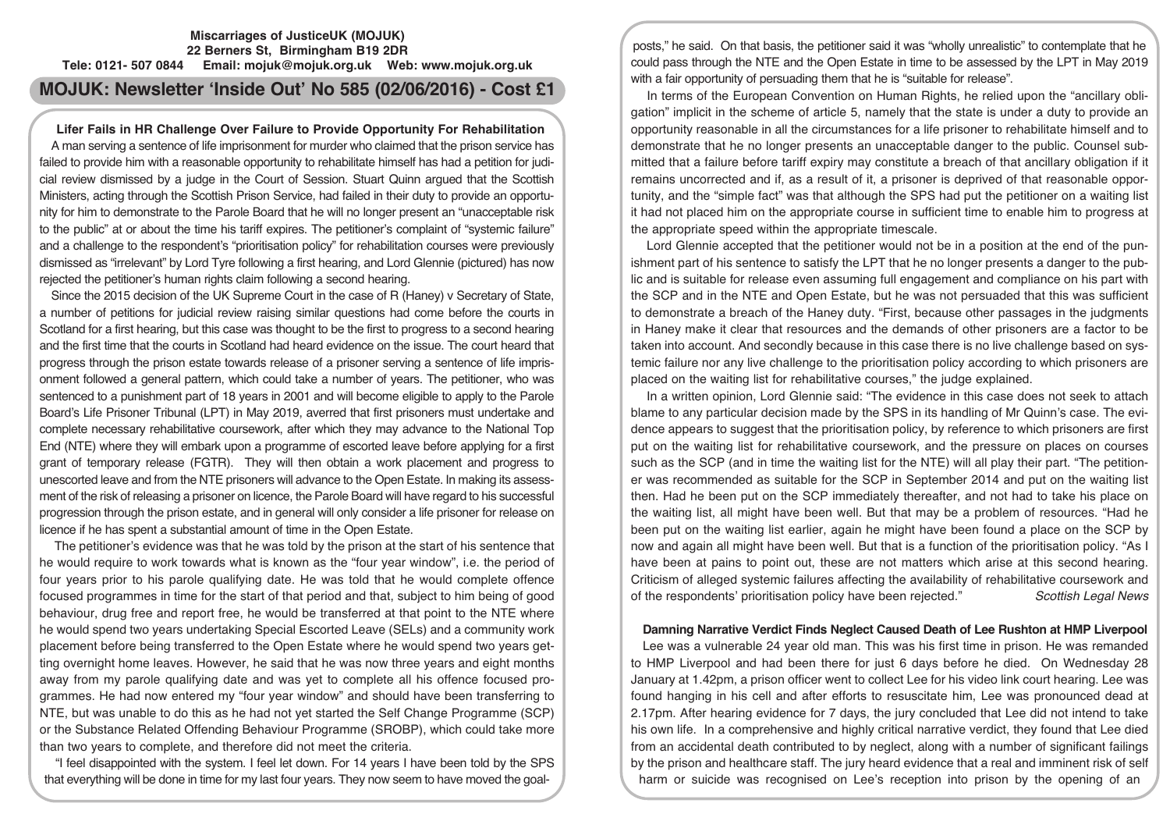## **Miscarriages of JusticeUK (MOJUK) 22 Berners St, Birmingham B19 2DR Tele: 0121- 507 0844 Email: mojuk@mojuk.org.uk Web: www.mojuk.org.uk**

# **MOJUK: Newsletter 'Inside Out' No 585 (02/06/2016) - Cost £1**

## **Lifer Fails in HR Challenge Over Failure to Provide Opportunity For Rehabilitation**

A man serving a sentence of life imprisonment for murder who claimed that the prison service has failed to provide him with a reasonable opportunity to rehabilitate himself has had a petition for judicial review dismissed by a judge in the Court of Session. Stuart Quinn argued that the Scottish Ministers, acting through the Scottish Prison Service, had failed in their duty to provide an opportunity for him to demonstrate to the Parole Board that he will no longer present an "unacceptable risk to the public" at or about the time his tariff expires. The petitioner's complaint of "systemic failure" and a challenge to the respondent's "prioritisation policy" for rehabilitation courses were previously dismissed as "irrelevant" by Lord Tyre following a first hearing, and Lord Glennie (pictured) has now rejected the petitioner's human rights claim following a second hearing.

Since the 2015 decision of the UK Supreme Court in the case of R (Haney) v Secretary of State, a number of petitions for judicial review raising similar questions had come before the courts in Scotland for a first hearing, but this case was thought to be the first to progress to a second hearing and the first time that the courts in Scotland had heard evidence on the issue. The court heard that progress through the prison estate towards release of a prisoner serving a sentence of life imprisonment followed a general pattern, which could take a number of years. The petitioner, who was sentenced to a punishment part of 18 years in 2001 and will become eligible to apply to the Parole Board's Life Prisoner Tribunal (LPT) in May 2019, averred that first prisoners must undertake and complete necessary rehabilitative coursework, after which they may advance to the National Top End (NTE) where they will embark upon a programme of escorted leave before applying for a first grant of temporary release (FGTR). They will then obtain a work placement and progress to unescorted leave and from the NTE prisoners will advance to the Open Estate. In making its assessment of the risk of releasing a prisoner on licence, the Parole Board will have regard to his successful progression through the prison estate, and in general will only consider a life prisoner for release on licence if he has spent a substantial amount of time in the Open Estate.

The petitioner's evidence was that he was told by the prison at the start of his sentence that he would require to work towards what is known as the "four year window", i.e. the period of four years prior to his parole qualifying date. He was told that he would complete offence focused programmes in time for the start of that period and that, subject to him being of good behaviour, drug free and report free, he would be transferred at that point to the NTE where he would spend two years undertaking Special Escorted Leave (SELs) and a community work placement before being transferred to the Open Estate where he would spend two years getting overnight home leaves. However, he said that he was now three years and eight months away from my parole qualifying date and was yet to complete all his offence focused programmes. He had now entered my "four year window" and should have been transferring to NTE, but was unable to do this as he had not yet started the Self Change Programme (SCP) or the Substance Related Offending Behaviour Programme (SROBP), which could take more than two years to complete, and therefore did not meet the criteria.

"I feel disappointed with the system. I feel let down. For 14 years I have been told by the SPS that everything will be done in time for my last four years. They now seem to have moved the goal-

posts," he said. On that basis, the petitioner said it was "wholly unrealistic" to contemplate that he could pass through the NTE and the Open Estate in time to be assessed by the LPT in May 2019 with a fair opportunity of persuading them that he is "suitable for release".

In terms of the European Convention on Human Rights, he relied upon the "ancillary obligation" implicit in the scheme of article 5, namely that the state is under a duty to provide an opportunity reasonable in all the circumstances for a life prisoner to rehabilitate himself and to demonstrate that he no longer presents an unacceptable danger to the public. Counsel submitted that a failure before tariff expiry may constitute a breach of that ancillary obligation if it remains uncorrected and if, as a result of it, a prisoner is deprived of that reasonable opportunity, and the "simple fact" was that although the SPS had put the petitioner on a waiting list it had not placed him on the appropriate course in sufficient time to enable him to progress at the appropriate speed within the appropriate timescale.

Lord Glennie accepted that the petitioner would not be in a position at the end of the punishment part of his sentence to satisfy the LPT that he no longer presents a danger to the public and is suitable for release even assuming full engagement and compliance on his part with the SCP and in the NTE and Open Estate, but he was not persuaded that this was sufficient to demonstrate a breach of the Haney duty. "First, because other passages in the judgments in Haney make it clear that resources and the demands of other prisoners are a factor to be taken into account. And secondly because in this case there is no live challenge based on systemic failure nor any live challenge to the prioritisation policy according to which prisoners are placed on the waiting list for rehabilitative courses," the judge explained.

In a written opinion, Lord Glennie said: "The evidence in this case does not seek to attach blame to any particular decision made by the SPS in its handling of Mr Quinn's case. The evidence appears to suggest that the prioritisation policy, by reference to which prisoners are first put on the waiting list for rehabilitative coursework, and the pressure on places on courses such as the SCP (and in time the waiting list for the NTE) will all play their part. "The petitioner was recommended as suitable for the SCP in September 2014 and put on the waiting list then. Had he been put on the SCP immediately thereafter, and not had to take his place on the waiting list, all might have been well. But that may be a problem of resources. "Had he been put on the waiting list earlier, again he might have been found a place on the SCP by now and again all might have been well. But that is a function of the prioritisation policy. "As I have been at pains to point out, these are not matters which arise at this second hearing. Criticism of alleged systemic failures affecting the availability of rehabilitative coursework and of the respondents' prioritisation policy have been rejected." *Scottish Legal News*

## **Damning Narrative Verdict Finds Neglect Caused Death of Lee Rushton at HMP Liverpool**

Lee was a vulnerable 24 year old man. This was his first time in prison. He was remanded to HMP Liverpool and had been there for just 6 days before he died. On Wednesday 28 January at 1.42pm, a prison officer went to collect Lee for his video link court hearing. Lee was found hanging in his cell and after efforts to resuscitate him, Lee was pronounced dead at 2.17pm. After hearing evidence for 7 days, the jury concluded that Lee did not intend to take his own life. In a comprehensive and highly critical narrative verdict, they found that Lee died from an accidental death contributed to by neglect, along with a number of significant failings by the prison and healthcare staff. The jury heard evidence that a real and imminent risk of self harm or suicide was recognised on Lee's reception into prison by the opening of an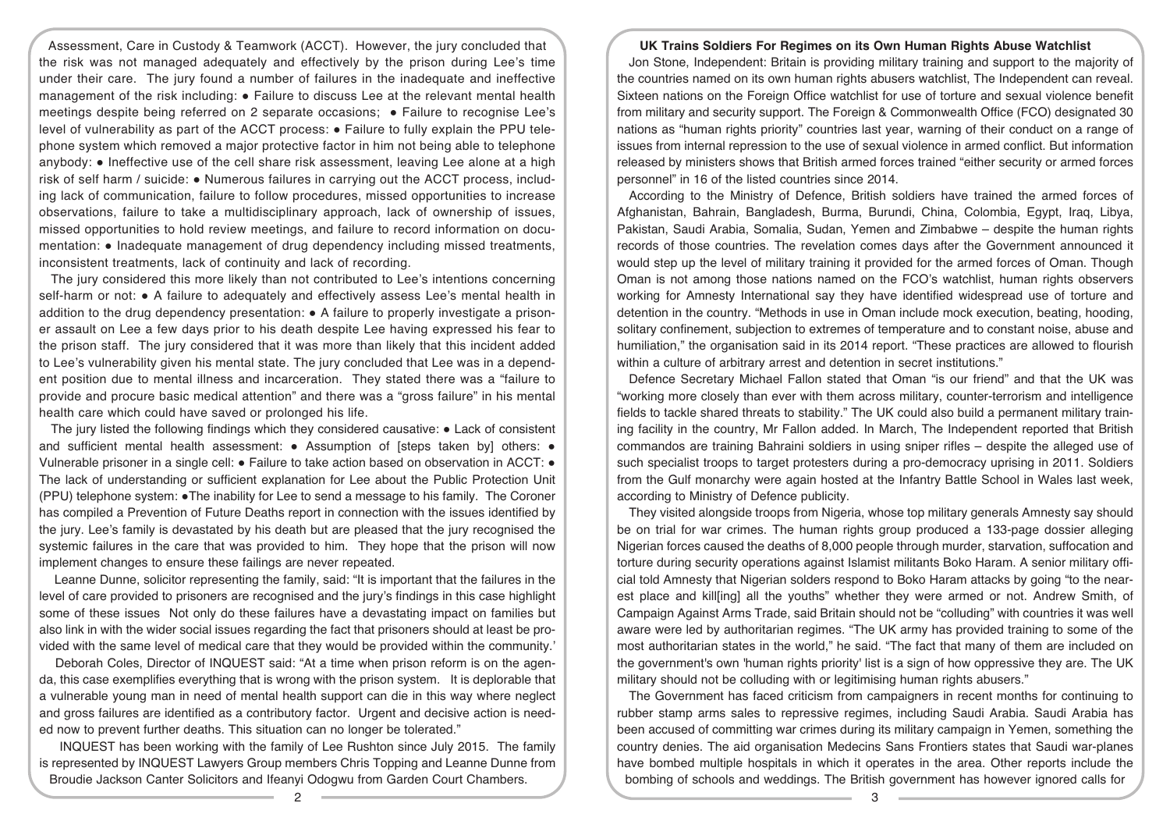Assessment, Care in Custody & Teamwork (ACCT). However, the jury concluded that the risk was not managed adequately and effectively by the prison during Lee's time under their care. The jury found a number of failures in the inadequate and ineffective management of the risk including: ● Failure to discuss Lee at the relevant mental health meetings despite being referred on 2 separate occasions; ● Failure to recognise Lee's level of vulnerability as part of the ACCT process: ● Failure to fully explain the PPU telephone system which removed a major protective factor in him not being able to telephone anybody: ● Ineffective use of the cell share risk assessment, leaving Lee alone at a high risk of self harm / suicide: ● Numerous failures in carrying out the ACCT process, including lack of communication, failure to follow procedures, missed opportunities to increase observations, failure to take a multidisciplinary approach, lack of ownership of issues, missed opportunities to hold review meetings, and failure to record information on documentation: ● Inadequate management of drug dependency including missed treatments, inconsistent treatments, lack of continuity and lack of recording.

The jury considered this more likely than not contributed to Lee's intentions concerning self-harm or not: ● A failure to adequately and effectively assess Lee's mental health in addition to the drug dependency presentation: ● A failure to properly investigate a prisoner assault on Lee a few days prior to his death despite Lee having expressed his fear to the prison staff. The jury considered that it was more than likely that this incident added to Lee's vulnerability given his mental state. The jury concluded that Lee was in a dependent position due to mental illness and incarceration. They stated there was a "failure to provide and procure basic medical attention" and there was a "gross failure" in his mental health care which could have saved or prolonged his life.

The jury listed the following findings which they considered causative: ● Lack of consistent and sufficient mental health assessment: • Assumption of [steps taken by] others: • Vulnerable prisoner in a single cell: ● Failure to take action based on observation in ACCT: ● The lack of understanding or sufficient explanation for Lee about the Public Protection Unit (PPU) telephone system: ●The inability for Lee to send a message to his family. The Coroner has compiled a Prevention of Future Deaths report in connection with the issues identified by the jury. Lee's family is devastated by his death but are pleased that the jury recognised the systemic failures in the care that was provided to him. They hope that the prison will now implement changes to ensure these failings are never repeated.

Leanne Dunne, solicitor representing the family, said: "It is important that the failures in the level of care provided to prisoners are recognised and the jury's findings in this case highlight some of these issues Not only do these failures have a devastating impact on families but also link in with the wider social issues regarding the fact that prisoners should at least be provided with the same level of medical care that they would be provided within the community.'

Deborah Coles, Director of INQUEST said: "At a time when prison reform is on the agenda, this case exemplifies everything that is wrong with the prison system. It is deplorable that a vulnerable young man in need of mental health support can die in this way where neglect and gross failures are identified as a contributory factor. Urgent and decisive action is needed now to prevent further deaths. This situation can no longer be tolerated."

INQUEST has been working with the family of Lee Rushton since July 2015. The family is represented by INQUEST Lawyers Group members Chris Topping and Leanne Dunne from Broudie Jackson Canter Solicitors and Ifeanyi Odogwu from Garden Court Chambers.

#### **UK Trains Soldiers For Regimes on its Own Human Rights Abuse Watchlist**

Jon Stone, Independent: Britain is providing military training and support to the majority of the countries named on its own human rights abusers watchlist, The Independent can reveal. Sixteen nations on the Foreign Office watchlist for use of torture and sexual violence benefit from military and security support. The Foreign & Commonwealth Office (FCO) designated 30 nations as "human rights priority" countries last year, warning of their conduct on a range of issues from internal repression to the use of sexual violence in armed conflict. But information released by ministers shows that British armed forces trained "either security or armed forces personnel" in 16 of the listed countries since 2014.

According to the Ministry of Defence, British soldiers have trained the armed forces of Afghanistan, Bahrain, Bangladesh, Burma, Burundi, China, Colombia, Egypt, Iraq, Libya, Pakistan, Saudi Arabia, Somalia, Sudan, Yemen and Zimbabwe – despite the human rights records of those countries. The revelation comes days after the Government announced it would step up the level of military training it provided for the armed forces of Oman. Though Oman is not among those nations named on the FCO's watchlist, human rights observers working for Amnesty International say they have identified widespread use of torture and detention in the country. "Methods in use in Oman include mock execution, beating, hooding, solitary confinement, subjection to extremes of temperature and to constant noise, abuse and humiliation," the organisation said in its 2014 report. "These practices are allowed to flourish within a culture of arbitrary arrest and detention in secret institutions."

Defence Secretary Michael Fallon stated that Oman "is our friend" and that the UK was "working more closely than ever with them across military, counter-terrorism and intelligence fields to tackle shared threats to stability." The UK could also build a permanent military training facility in the country, Mr Fallon added. In March, The Independent reported that British commandos are training Bahraini soldiers in using sniper rifles – despite the alleged use of such specialist troops to target protesters during a pro-democracy uprising in 2011. Soldiers from the Gulf monarchy were again hosted at the Infantry Battle School in Wales last week, according to Ministry of Defence publicity.

They visited alongside troops from Nigeria, whose top military generals Amnesty say should be on trial for war crimes. The human rights group produced a 133-page dossier alleging Nigerian forces caused the deaths of 8,000 people through murder, starvation, suffocation and torture during security operations against Islamist militants Boko Haram. A senior military official told Amnesty that Nigerian solders respond to Boko Haram attacks by going "to the nearest place and kill[ing] all the youths" whether they were armed or not. Andrew Smith, of Campaign Against Arms Trade, said Britain should not be "colluding" with countries it was well aware were led by authoritarian regimes. "The UK army has provided training to some of the most authoritarian states in the world," he said. "The fact that many of them are included on the government's own 'human rights priority' list is a sign of how oppressive they are. The UK military should not be colluding with or legitimising human rights abusers."

The Government has faced criticism from campaigners in recent months for continuing to rubber stamp arms sales to repressive regimes, including Saudi Arabia. Saudi Arabia has been accused of committing war crimes during its military campaign in Yemen, something the country denies. The aid organisation Medecins Sans Frontiers states that Saudi war-planes have bombed multiple hospitals in which it operates in the area. Other reports include the bombing of schools and weddings. The British government has however ignored calls for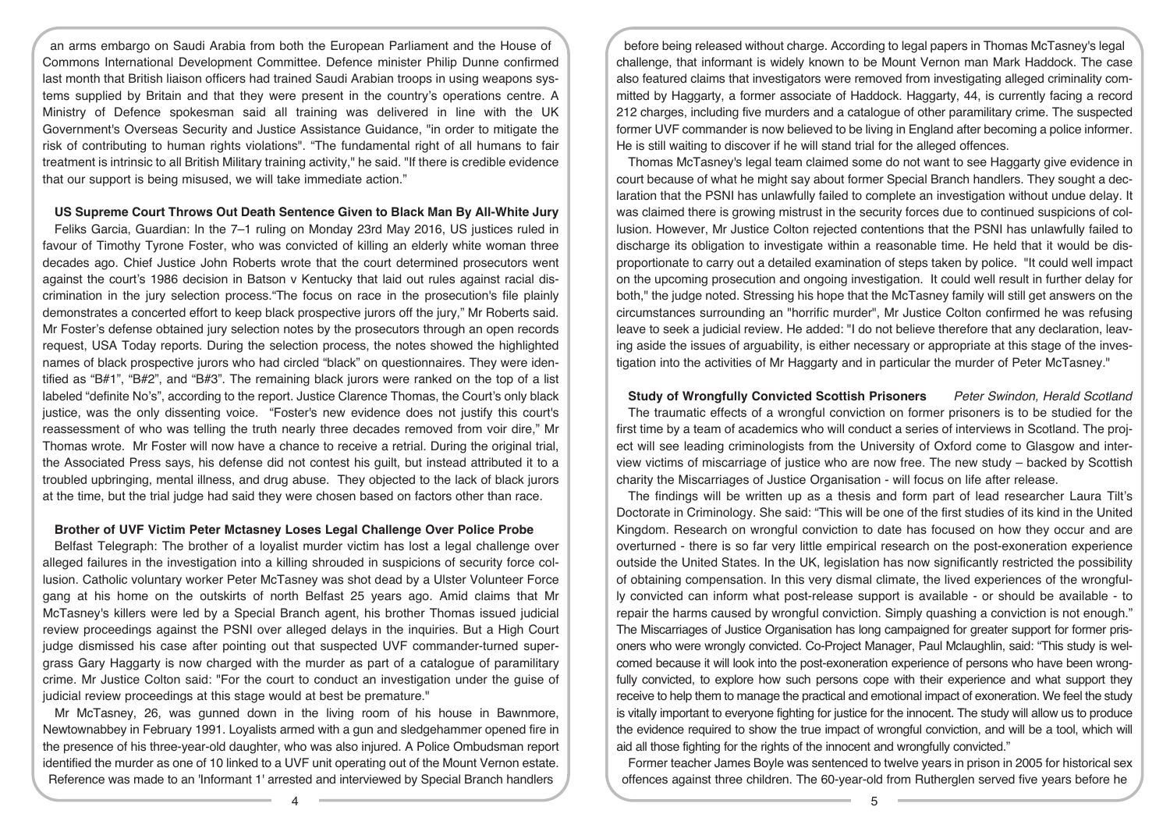an arms embargo on Saudi Arabia from both the European Parliament and the House of Commons International Development Committee. Defence minister Philip Dunne confirmed last month that British liaison officers had trained Saudi Arabian troops in using weapons systems supplied by Britain and that they were present in the country's operations centre. A Ministry of Defence spokesman said all training was delivered in line with the UK Government's Overseas Security and Justice Assistance Guidance, "in order to mitigate the risk of contributing to human rights violations". "The fundamental right of all humans to fair treatment is intrinsic to all British Military training activity," he said. "If there is credible evidence that our support is being misused, we will take immediate action."

## **US Supreme Court Throws Out Death Sentence Given to Black Man By All-White Jury**

Feliks Garcia, Guardian: In the 7–1 ruling on Monday 23rd May 2016, US justices ruled in favour of Timothy Tyrone Foster, who was convicted of killing an elderly white woman three decades ago. Chief Justice John Roberts wrote that the court determined prosecutors went against the court's 1986 decision in Batson v Kentucky that laid out rules against racial discrimination in the jury selection process."The focus on race in the prosecution's file plainly demonstrates a concerted effort to keep black prospective jurors off the jury," Mr Roberts said. Mr Foster's defense obtained jury selection notes by the prosecutors through an open records request, USA Today reports. During the selection process, the notes showed the highlighted names of black prospective jurors who had circled "black" on questionnaires. They were identified as "B#1", "B#2", and "B#3". The remaining black jurors were ranked on the top of a list labeled "definite No's", according to the report. Justice Clarence Thomas, the Court's only black justice, was the only dissenting voice. "Foster's new evidence does not justify this court's reassessment of who was telling the truth nearly three decades removed from voir dire," Mr Thomas wrote. Mr Foster will now have a chance to receive a retrial. During the original trial, the Associated Press says, his defense did not contest his guilt, but instead attributed it to a troubled upbringing, mental illness, and drug abuse. They objected to the lack of black jurors at the time, but the trial judge had said they were chosen based on factors other than race.

# **Brother of UVF Victim Peter Mctasney Loses Legal Challenge Over Police Probe**

Belfast Telegraph: The brother of a loyalist murder victim has lost a legal challenge over alleged failures in the investigation into a killing shrouded in suspicions of security force collusion. Catholic voluntary worker Peter McTasney was shot dead by a Ulster Volunteer Force gang at his home on the outskirts of north Belfast 25 years ago. Amid claims that Mr McTasney's killers were led by a Special Branch agent, his brother Thomas issued judicial review proceedings against the PSNI over alleged delays in the inquiries. But a High Court judge dismissed his case after pointing out that suspected UVF commander-turned supergrass Gary Haggarty is now charged with the murder as part of a catalogue of paramilitary crime. Mr Justice Colton said: "For the court to conduct an investigation under the guise of judicial review proceedings at this stage would at best be premature."

Mr McTasney, 26, was gunned down in the living room of his house in Bawnmore, Newtownabbey in February 1991. Loyalists armed with a gun and sledgehammer opened fire in the presence of his three-year-old daughter, who was also injured. A Police Ombudsman report identified the murder as one of 10 linked to a UVF unit operating out of the Mount Vernon estate. Reference was made to an 'Informant 1' arrested and interviewed by Special Branch handlers

before being released without charge. According to legal papers in Thomas McTasney's legal challenge, that informant is widely known to be Mount Vernon man Mark Haddock. The case also featured claims that investigators were removed from investigating alleged criminality committed by Haggarty, a former associate of Haddock. Haggarty, 44, is currently facing a record 212 charges, including five murders and a catalogue of other paramilitary crime. The suspected former UVF commander is now believed to be living in England after becoming a police informer. He is still waiting to discover if he will stand trial for the alleged offences.

Thomas McTasney's legal team claimed some do not want to see Haggarty give evidence in court because of what he might say about former Special Branch handlers. They sought a declaration that the PSNI has unlawfully failed to complete an investigation without undue delay. It was claimed there is growing mistrust in the security forces due to continued suspicions of collusion. However, Mr Justice Colton rejected contentions that the PSNI has unlawfully failed to discharge its obligation to investigate within a reasonable time. He held that it would be disproportionate to carry out a detailed examination of steps taken by police. "It could well impact on the upcoming prosecution and ongoing investigation. It could well result in further delay for both," the judge noted. Stressing his hope that the McTasney family will still get answers on the circumstances surrounding an "horrific murder", Mr Justice Colton confirmed he was refusing leave to seek a judicial review. He added: "I do not believe therefore that any declaration, leaving aside the issues of arguability, is either necessary or appropriate at this stage of the investigation into the activities of Mr Haggarty and in particular the murder of Peter McTasney."

**Study of Wrongfully Convicted Scottish Prisoners** *Peter Swindon, Herald Scotland* The traumatic effects of a wrongful conviction on former prisoners is to be studied for the first time by a team of academics who will conduct a series of interviews in Scotland. The project will see leading criminologists from the University of Oxford come to Glasgow and interview victims of miscarriage of justice who are now free. The new study – backed by Scottish charity the Miscarriages of Justice Organisation - will focus on life after release.

The findings will be written up as a thesis and form part of lead researcher Laura Tilt's Doctorate in Criminology. She said: "This will be one of the first studies of its kind in the United Kingdom. Research on wrongful conviction to date has focused on how they occur and are overturned - there is so far very little empirical research on the post-exoneration experience outside the United States. In the UK, legislation has now significantly restricted the possibility of obtaining compensation. In this very dismal climate, the lived experiences of the wrongfully convicted can inform what post-release support is available - or should be available - to repair the harms caused by wrongful conviction. Simply quashing a conviction is not enough." The Miscarriages of Justice Organisation has long campaigned for greater support for former prisoners who were wrongly convicted. Co-Project Manager, Paul Mclaughlin, said: "This study is welcomed because it will look into the post-exoneration experience of persons who have been wrongfully convicted, to explore how such persons cope with their experience and what support they receive to help them to manage the practical and emotional impact of exoneration. We feel the study is vitally important to everyone fighting for justice for the innocent. The study will allow us to produce the evidence required to show the true impact of wrongful conviction, and will be a tool, which will aid all those fighting for the rights of the innocent and wrongfully convicted."

Former teacher James Boyle was sentenced to twelve years in prison in 2005 for historical sex offences against three children. The 60-year-old from Rutherglen served five years before he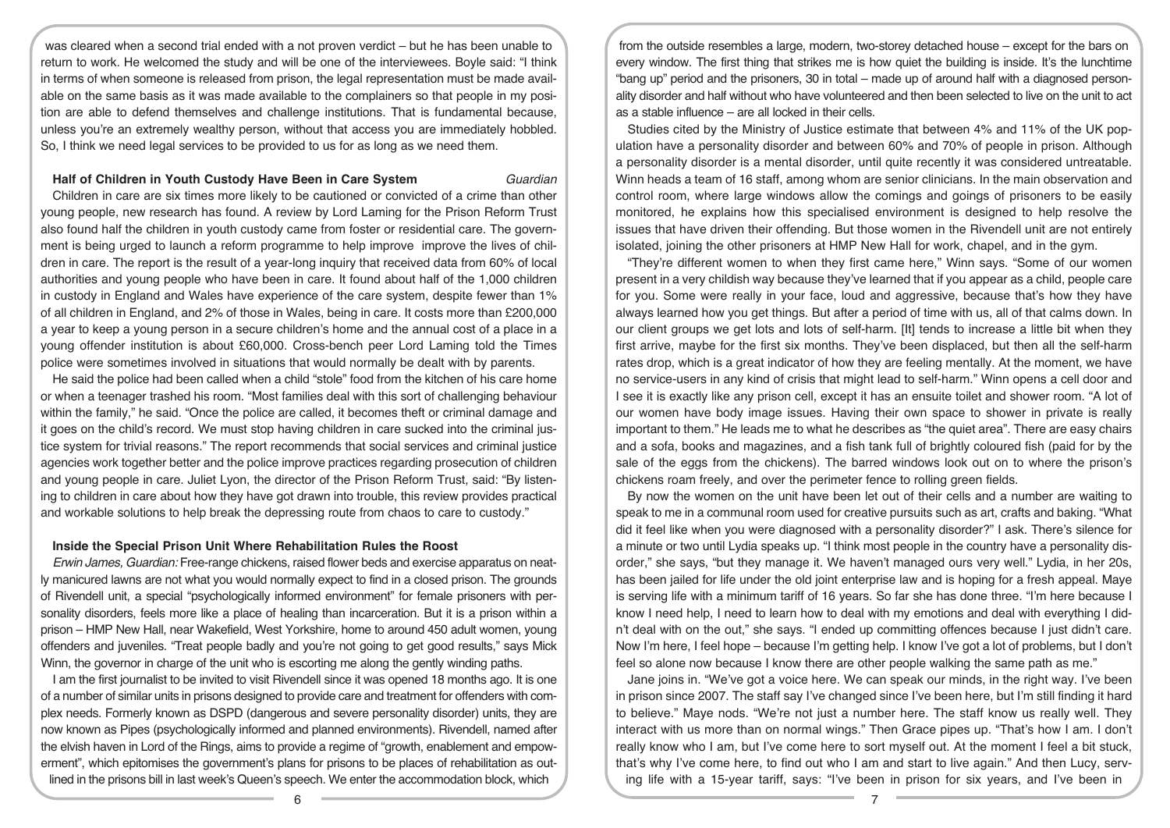was cleared when a second trial ended with a not proven verdict – but he has been unable to return to work. He welcomed the study and will be one of the interviewees. Boyle said: "I think in terms of when someone is released from prison, the legal representation must be made available on the same basis as it was made available to the complainers so that people in my position are able to defend themselves and challenge institutions. That is fundamental because, unless you're an extremely wealthy person, without that access you are immediately hobbled. So, I think we need legal services to be provided to us for as long as we need them.

# **Half of Children in Youth Custody Have Been in Care System** *Guardian*

Children in care are six times more likely to be cautioned or convicted of a crime than other young people, new research has found. A review by Lord Laming for the Prison Reform Trust also found half the children in youth custody came from foster or residential care. The government is being urged to launch a reform programme to help improve improve the lives of children in care. The report is the result of a year-long inquiry that received data from 60% of local authorities and young people who have been in care. It found about half of the 1,000 children in custody in England and Wales have experience of the care system, despite fewer than 1% of all children in England, and 2% of those in Wales, being in care. It costs more than £200,000 a year to keep a young person in a secure children's home and the annual cost of a place in a young offender institution is about £60,000. Cross-bench peer Lord Laming told the Times police were sometimes involved in situations that would normally be dealt with by parents.

He said the police had been called when a child "stole" food from the kitchen of his care home or when a teenager trashed his room. "Most families deal with this sort of challenging behaviour within the family," he said. "Once the police are called, it becomes theft or criminal damage and it goes on the child's record. We must stop having children in care sucked into the criminal justice system for trivial reasons." The report recommends that social services and criminal justice agencies work together better and the police improve practices regarding prosecution of children and young people in care. Juliet Lyon, the director of the Prison Reform Trust, said: "By listening to children in care about how they have got drawn into trouble, this review provides practical and workable solutions to help break the depressing route from chaos to care to custody."

## **Inside the Special Prison Unit Where Rehabilitation Rules the Roost**

*Erwin James, Guardian:* Free-range chickens, raised flower beds and exercise apparatus on neatly manicured lawns are not what you would normally expect to find in a closed prison. The grounds of Rivendell unit, a special "psychologically informed environment" for female prisoners with personality disorders, feels more like a place of healing than incarceration. But it is a prison within a prison – HMP New Hall, near Wakefield, West Yorkshire, home to around 450 adult women, young offenders and juveniles. "Treat people badly and you're not going to get good results," says Mick Winn, the governor in charge of the unit who is escorting me along the gently winding paths.

I am the first journalist to be invited to visit Rivendell since it was opened 18 months ago. It is one of a number of similar units in prisons designed to provide care and treatment for offenders with complex needs. Formerly known as DSPD (dangerous and severe personality disorder) units, they are now known as Pipes (psychologically informed and planned environments). Rivendell, named after the elvish haven in Lord of the Rings, aims to provide a regime of "growth, enablement and empowerment", which epitomises the government's plans for prisons to be places of rehabilitation as outlined in the prisons bill in last week's Queen's speech. We enter the accommodation block, which

from the outside resembles a large, modern, two-storey detached house – except for the bars on every window. The first thing that strikes me is how quiet the building is inside. It's the lunchtime "bang up" period and the prisoners, 30 in total – made up of around half with a diagnosed personality disorder and half without who have volunteered and then been selected to live on the unit to act as a stable influence – are all locked in their cells.

Studies cited by the Ministry of Justice estimate that between 4% and 11% of the UK population have a personality disorder and between 60% and 70% of people in prison. Although a personality disorder is a mental disorder, until quite recently it was considered untreatable. Winn heads a team of 16 staff, among whom are senior clinicians. In the main observation and control room, where large windows allow the comings and goings of prisoners to be easily monitored, he explains how this specialised environment is designed to help resolve the issues that have driven their offending. But those women in the Rivendell unit are not entirely isolated, joining the other prisoners at HMP New Hall for work, chapel, and in the gym.

"They're different women to when they first came here," Winn says. "Some of our women present in a very childish way because they've learned that if you appear as a child, people care for you. Some were really in your face, loud and aggressive, because that's how they have always learned how you get things. But after a period of time with us, all of that calms down. In our client groups we get lots and lots of self-harm. [It] tends to increase a little bit when they first arrive, maybe for the first six months. They've been displaced, but then all the self-harm rates drop, which is a great indicator of how they are feeling mentally. At the moment, we have no service-users in any kind of crisis that might lead to self-harm." Winn opens a cell door and I see it is exactly like any prison cell, except it has an ensuite toilet and shower room. "A lot of our women have body image issues. Having their own space to shower in private is really important to them." He leads me to what he describes as "the quiet area". There are easy chairs and a sofa, books and magazines, and a fish tank full of brightly coloured fish (paid for by the sale of the eggs from the chickens). The barred windows look out on to where the prison's chickens roam freely, and over the perimeter fence to rolling green fields.

By now the women on the unit have been let out of their cells and a number are waiting to speak to me in a communal room used for creative pursuits such as art, crafts and baking. "What did it feel like when you were diagnosed with a personality disorder?" I ask. There's silence for a minute or two until Lydia speaks up. "I think most people in the country have a personality disorder," she says, "but they manage it. We haven't managed ours very well." Lydia, in her 20s, has been jailed for life under the old joint enterprise law and is hoping for a fresh appeal. Maye is serving life with a minimum tariff of 16 years. So far she has done three. "I'm here because I know I need help, I need to learn how to deal with my emotions and deal with everything I didn't deal with on the out," she says. "I ended up committing offences because I just didn't care. Now I'm here, I feel hope – because I'm getting help. I know I've got a lot of problems, but I don't feel so alone now because I know there are other people walking the same path as me."

Jane joins in. "We've got a voice here. We can speak our minds, in the right way. I've been in prison since 2007. The staff say I've changed since I've been here, but I'm still finding it hard to believe." Maye nods. "We're not just a number here. The staff know us really well. They interact with us more than on normal wings." Then Grace pipes up. "That's how I am. I don't really know who I am, but I've come here to sort myself out. At the moment I feel a bit stuck, that's why I've come here, to find out who I am and start to live again." And then Lucy, serving life with a 15-year tariff, says: "I've been in prison for six years, and I've been in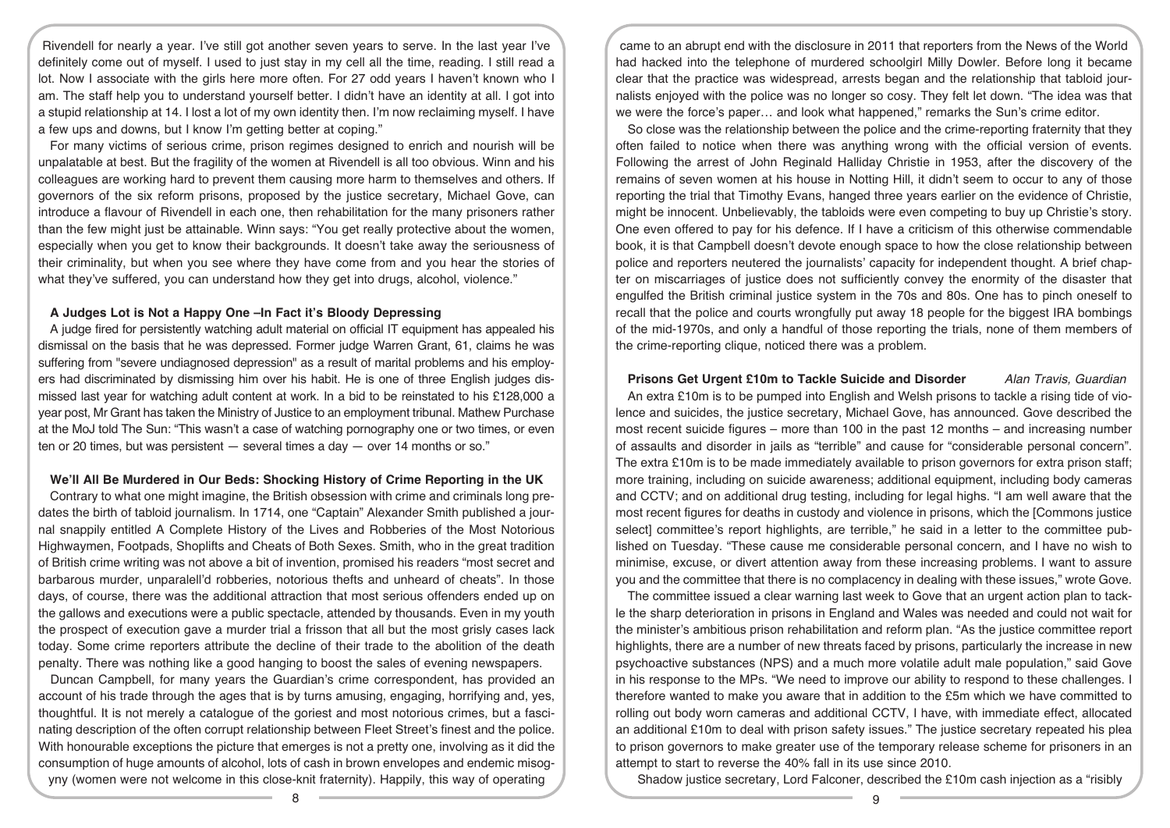Rivendell for nearly a year. I've still got another seven years to serve. In the last year I've definitely come out of myself. I used to just stay in my cell all the time, reading. I still read a lot. Now I associate with the girls here more often. For 27 odd years I haven't known who I am. The staff help you to understand yourself better. I didn't have an identity at all. I got into a stupid relationship at 14. I lost a lot of my own identity then. I'm now reclaiming myself. I have a few ups and downs, but I know I'm getting better at coping."

For many victims of serious crime, prison regimes designed to enrich and nourish will be unpalatable at best. But the fragility of the women at Rivendell is all too obvious. Winn and his colleagues are working hard to prevent them causing more harm to themselves and others. If governors of the six reform prisons, proposed by the justice secretary, Michael Gove, can introduce a flavour of Rivendell in each one, then rehabilitation for the many prisoners rather than the few might just be attainable. Winn says: "You get really protective about the women, especially when you get to know their backgrounds. It doesn't take away the seriousness of their criminality, but when you see where they have come from and you hear the stories of what they've suffered, you can understand how they get into drugs, alcohol, violence."

## **A Judges Lot is Not a Happy One –In Fact it's Bloody Depressing**

A judge fired for persistently watching adult material on official IT equipment has appealed his dismissal on the basis that he was depressed. Former judge Warren Grant, 61, claims he was suffering from "severe undiagnosed depression" as a result of marital problems and his employers had discriminated by dismissing him over his habit. He is one of three English judges dismissed last year for watching adult content at work. In a bid to be reinstated to his £128,000 a year post, Mr Grant has taken the Ministry of Justice to an employment tribunal. Mathew Purchase at the MoJ told The Sun: "This wasn't a case of watching pornography one or two times, or even ten or 20 times, but was persistent — several times a day — over 14 months or so."

#### **We'll All Be Murdered in Our Beds: Shocking History of Crime Reporting in the UK**

Contrary to what one might imagine, the British obsession with crime and criminals long predates the birth of tabloid journalism. In 1714, one "Captain" Alexander Smith published a journal snappily entitled A Complete History of the Lives and Robberies of the Most Notorious Highwaymen, Footpads, Shoplifts and Cheats of Both Sexes. Smith, who in the great tradition of British crime writing was not above a bit of invention, promised his readers "most secret and barbarous murder, unparalell'd robberies, notorious thefts and unheard of cheats". In those days, of course, there was the additional attraction that most serious offenders ended up on the gallows and executions were a public spectacle, attended by thousands. Even in my youth the prospect of execution gave a murder trial a frisson that all but the most grisly cases lack today. Some crime reporters attribute the decline of their trade to the abolition of the death penalty. There was nothing like a good hanging to boost the sales of evening newspapers.

Duncan Campbell, for many years the Guardian's crime correspondent, has provided an account of his trade through the ages that is by turns amusing, engaging, horrifying and, yes, thoughtful. It is not merely a catalogue of the goriest and most notorious crimes, but a fascinating description of the often corrupt relationship between Fleet Street's finest and the police. With honourable exceptions the picture that emerges is not a pretty one, involving as it did the consumption of huge amounts of alcohol, lots of cash in brown envelopes and endemic misogyny (women were not welcome in this close-knit fraternity). Happily, this way of operating

came to an abrupt end with the disclosure in 2011 that reporters from the News of the World had hacked into the telephone of murdered schoolgirl Milly Dowler. Before long it became clear that the practice was widespread, arrests began and the relationship that tabloid journalists enjoyed with the police was no longer so cosy. They felt let down. "The idea was that we were the force's paper… and look what happened," remarks the Sun's crime editor.

So close was the relationship between the police and the crime-reporting fraternity that they often failed to notice when there was anything wrong with the official version of events. Following the arrest of John Reginald Halliday Christie in 1953, after the discovery of the remains of seven women at his house in Notting Hill, it didn't seem to occur to any of those reporting the trial that Timothy Evans, hanged three years earlier on the evidence of Christie, might be innocent. Unbelievably, the tabloids were even competing to buy up Christie's story. One even offered to pay for his defence. If I have a criticism of this otherwise commendable book, it is that Campbell doesn't devote enough space to how the close relationship between police and reporters neutered the journalists' capacity for independent thought. A brief chapter on miscarriages of justice does not sufficiently convey the enormity of the disaster that engulfed the British criminal justice system in the 70s and 80s. One has to pinch oneself to recall that the police and courts wrongfully put away 18 people for the biggest IRA bombings of the mid-1970s, and only a handful of those reporting the trials, none of them members of the crime-reporting clique, noticed there was a problem.

# **Prisons Get Urgent £10m to Tackle Suicide and Disorder** *Alan Travis, Guardian* An extra £10m is to be pumped into English and Welsh prisons to tackle a rising tide of violence and suicides, the justice secretary, Michael Gove, has announced. Gove described the most recent suicide figures – more than 100 in the past 12 months – and increasing number of assaults and disorder in jails as "terrible" and cause for "considerable personal concern". The extra £10m is to be made immediately available to prison governors for extra prison staff; more training, including on suicide awareness; additional equipment, including body cameras and CCTV; and on additional drug testing, including for legal highs. "I am well aware that the most recent figures for deaths in custody and violence in prisons, which the [Commons justice select] committee's report highlights, are terrible," he said in a letter to the committee published on Tuesday. "These cause me considerable personal concern, and I have no wish to minimise, excuse, or divert attention away from these increasing problems. I want to assure

The committee issued a clear warning last week to Gove that an urgent action plan to tackle the sharp deterioration in prisons in England and Wales was needed and could not wait for the minister's ambitious prison rehabilitation and reform plan. "As the justice committee report highlights, there are a number of new threats faced by prisons, particularly the increase in new psychoactive substances (NPS) and a much more volatile adult male population," said Gove in his response to the MPs. "We need to improve our ability to respond to these challenges. I therefore wanted to make you aware that in addition to the £5m which we have committed to rolling out body worn cameras and additional CCTV, I have, with immediate effect, allocated an additional £10m to deal with prison safety issues." The justice secretary repeated his plea to prison governors to make greater use of the temporary release scheme for prisoners in an attempt to start to reverse the 40% fall in its use since 2010.

you and the committee that there is no complacency in dealing with these issues," wrote Gove.

Shadow justice secretary, Lord Falconer, described the £10m cash injection as a "risibly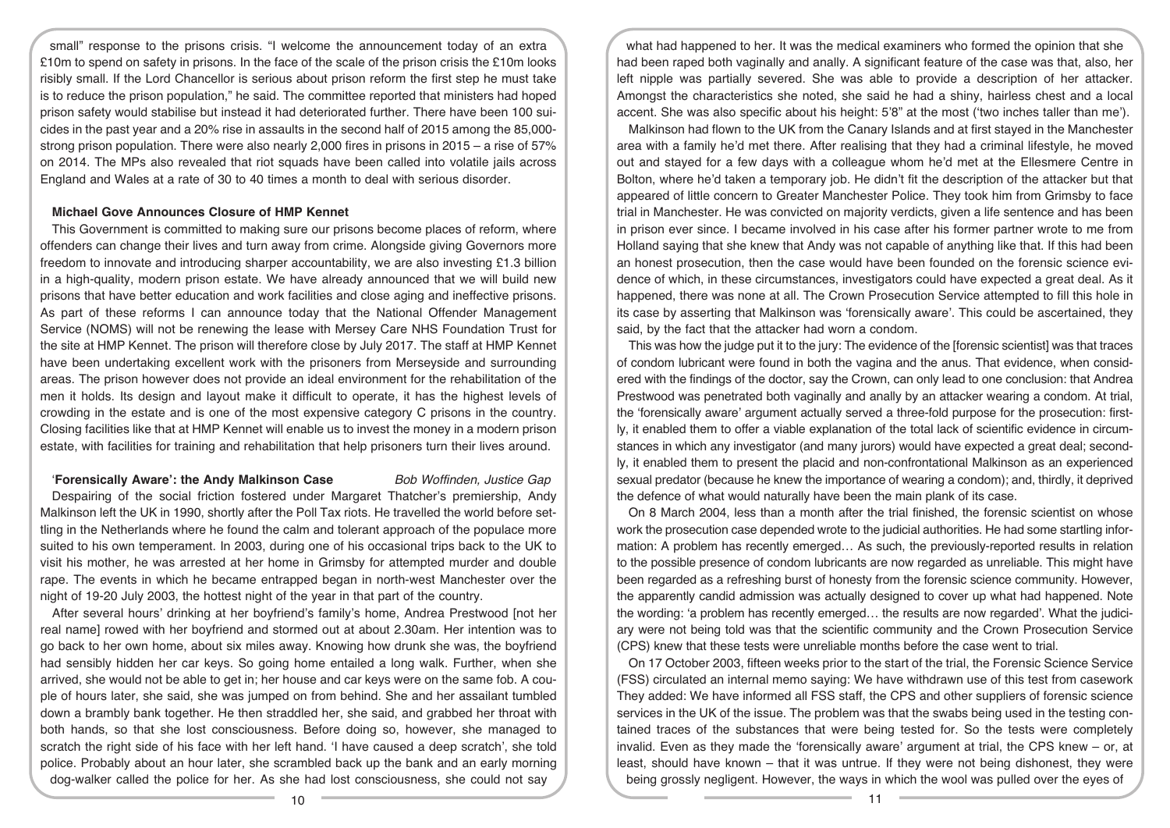small" response to the prisons crisis. "I welcome the announcement today of an extra £10m to spend on safety in prisons. In the face of the scale of the prison crisis the £10m looks risibly small. If the Lord Chancellor is serious about prison reform the first step he must take is to reduce the prison population," he said. The committee reported that ministers had hoped prison safety would stabilise but instead it had deteriorated further. There have been 100 suicides in the past year and a 20% rise in assaults in the second half of 2015 among the 85,000 strong prison population. There were also nearly 2,000 fires in prisons in 2015 – a rise of 57% on 2014. The MPs also revealed that riot squads have been called into volatile jails across England and Wales at a rate of 30 to 40 times a month to deal with serious disorder.

## **Michael Gove Announces Closure of HMP Kennet**

This Government is committed to making sure our prisons become places of reform, where offenders can change their lives and turn away from crime. Alongside giving Governors more freedom to innovate and introducing sharper accountability, we are also investing £1.3 billion in a high-quality, modern prison estate. We have already announced that we will build new prisons that have better education and work facilities and close aging and ineffective prisons. As part of these reforms I can announce today that the National Offender Management Service (NOMS) will not be renewing the lease with Mersey Care NHS Foundation Trust for the site at HMP Kennet. The prison will therefore close by July 2017. The staff at HMP Kennet have been undertaking excellent work with the prisoners from Merseyside and surrounding areas. The prison however does not provide an ideal environment for the rehabilitation of the men it holds. Its design and layout make it difficult to operate, it has the highest levels of crowding in the estate and is one of the most expensive category C prisons in the country. Closing facilities like that at HMP Kennet will enable us to invest the money in a modern prison estate, with facilities for training and rehabilitation that help prisoners turn their lives around.

#### '**Forensically Aware': the Andy Malkinson Case** *Bob Woffinden, Justice Gap*

Despairing of the social friction fostered under Margaret Thatcher's premiership, Andy Malkinson left the UK in 1990, shortly after the Poll Tax riots. He travelled the world before settling in the Netherlands where he found the calm and tolerant approach of the populace more suited to his own temperament. In 2003, during one of his occasional trips back to the UK to visit his mother, he was arrested at her home in Grimsby for attempted murder and double rape. The events in which he became entrapped began in north-west Manchester over the night of 19-20 July 2003, the hottest night of the year in that part of the country.

After several hours' drinking at her boyfriend's family's home, Andrea Prestwood [not her real name] rowed with her boyfriend and stormed out at about 2.30am. Her intention was to go back to her own home, about six miles away. Knowing how drunk she was, the boyfriend had sensibly hidden her car keys. So going home entailed a long walk. Further, when she arrived, she would not be able to get in; her house and car keys were on the same fob. A couple of hours later, she said, she was jumped on from behind. She and her assailant tumbled down a brambly bank together. He then straddled her, she said, and grabbed her throat with both hands, so that she lost consciousness. Before doing so, however, she managed to scratch the right side of his face with her left hand. 'I have caused a deep scratch', she told police. Probably about an hour later, she scrambled back up the bank and an early morning dog-walker called the police for her. As she had lost consciousness, she could not say

what had happened to her. It was the medical examiners who formed the opinion that she had been raped both vaginally and anally. A significant feature of the case was that, also, her left nipple was partially severed. She was able to provide a description of her attacker. Amongst the characteristics she noted, she said he had a shiny, hairless chest and a local accent. She was also specific about his height: 5'8" at the most ('two inches taller than me').

Malkinson had flown to the UK from the Canary Islands and at first stayed in the Manchester area with a family he'd met there. After realising that they had a criminal lifestyle, he moved out and stayed for a few days with a colleague whom he'd met at the Ellesmere Centre in Bolton, where he'd taken a temporary job. He didn't fit the description of the attacker but that appeared of little concern to Greater Manchester Police. They took him from Grimsby to face trial in Manchester. He was convicted on majority verdicts, given a life sentence and has been in prison ever since. I became involved in his case after his former partner wrote to me from Holland saying that she knew that Andy was not capable of anything like that. If this had been an honest prosecution, then the case would have been founded on the forensic science evidence of which, in these circumstances, investigators could have expected a great deal. As it happened, there was none at all. The Crown Prosecution Service attempted to fill this hole in its case by asserting that Malkinson was 'forensically aware'. This could be ascertained, they said, by the fact that the attacker had worn a condom.

This was how the judge put it to the jury: The evidence of the [forensic scientist] was that traces of condom lubricant were found in both the vagina and the anus. That evidence, when considered with the findings of the doctor, say the Crown, can only lead to one conclusion: that Andrea Prestwood was penetrated both vaginally and anally by an attacker wearing a condom. At trial, the 'forensically aware' argument actually served a three-fold purpose for the prosecution: firstly, it enabled them to offer a viable explanation of the total lack of scientific evidence in circumstances in which any investigator (and many jurors) would have expected a great deal; secondly, it enabled them to present the placid and non-confrontational Malkinson as an experienced sexual predator (because he knew the importance of wearing a condom); and, thirdly, it deprived the defence of what would naturally have been the main plank of its case.

On 8 March 2004, less than a month after the trial finished, the forensic scientist on whose work the prosecution case depended wrote to the judicial authorities. He had some startling information: A problem has recently emerged… As such, the previously-reported results in relation to the possible presence of condom lubricants are now regarded as unreliable. This might have been regarded as a refreshing burst of honesty from the forensic science community. However, the apparently candid admission was actually designed to cover up what had happened. Note the wording: 'a problem has recently emerged… the results are now regarded'. What the judiciary were not being told was that the scientific community and the Crown Prosecution Service (CPS) knew that these tests were unreliable months before the case went to trial.

On 17 October 2003, fifteen weeks prior to the start of the trial, the Forensic Science Service (FSS) circulated an internal memo saying: We have withdrawn use of this test from casework They added: We have informed all FSS staff, the CPS and other suppliers of forensic science services in the UK of the issue. The problem was that the swabs being used in the testing contained traces of the substances that were being tested for. So the tests were completely invalid. Even as they made the 'forensically aware' argument at trial, the CPS knew – or, at least, should have known – that it was untrue. If they were not being dishonest, they were being grossly negligent. However, the ways in which the wool was pulled over the eyes of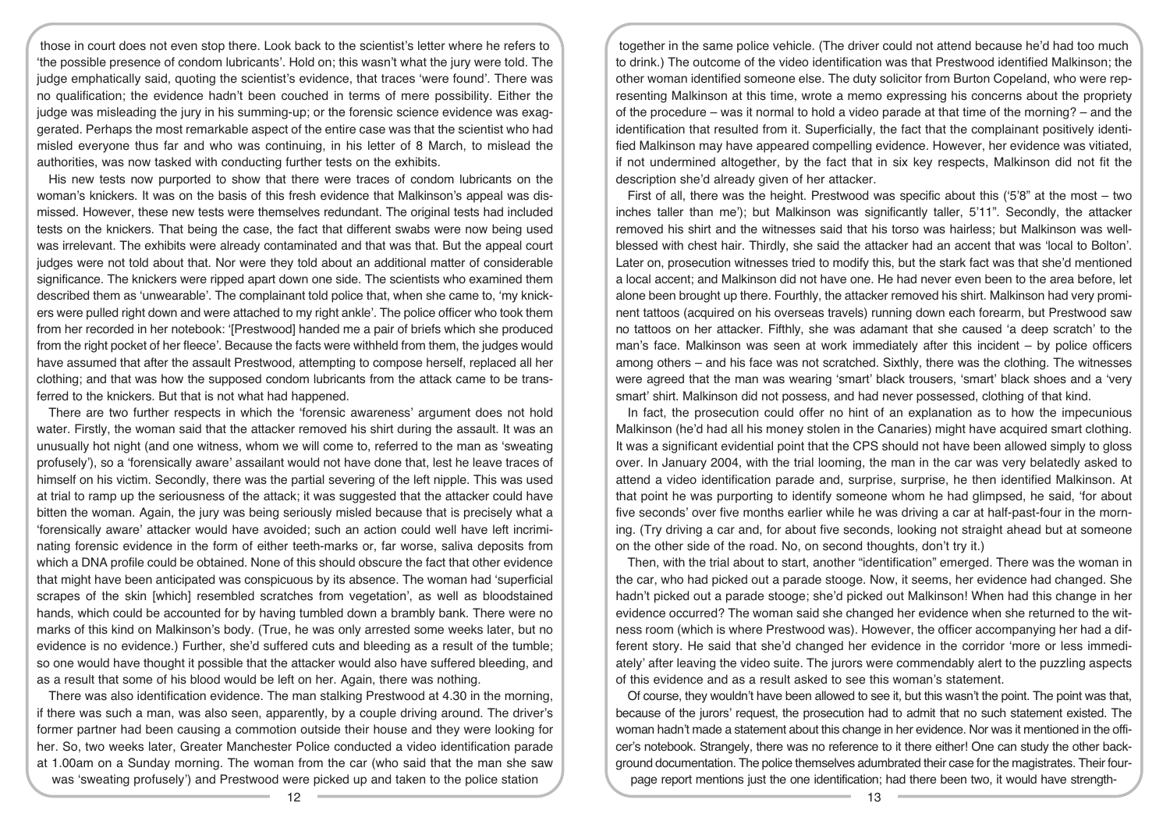those in court does not even stop there. Look back to the scientist's letter where he refers to 'the possible presence of condom lubricants'. Hold on; this wasn't what the jury were told. The judge emphatically said, quoting the scientist's evidence, that traces 'were found'. There was no qualification; the evidence hadn't been couched in terms of mere possibility. Either the judge was misleading the jury in his summing-up; or the forensic science evidence was exaggerated. Perhaps the most remarkable aspect of the entire case was that the scientist who had misled everyone thus far and who was continuing, in his letter of 8 March, to mislead the authorities, was now tasked with conducting further tests on the exhibits.

His new tests now purported to show that there were traces of condom lubricants on the woman's knickers. It was on the basis of this fresh evidence that Malkinson's appeal was dismissed. However, these new tests were themselves redundant. The original tests had included tests on the knickers. That being the case, the fact that different swabs were now being used was irrelevant. The exhibits were already contaminated and that was that. But the appeal court judges were not told about that. Nor were they told about an additional matter of considerable significance. The knickers were ripped apart down one side. The scientists who examined them described them as 'unwearable'. The complainant told police that, when she came to, 'my knickers were pulled right down and were attached to my right ankle'. The police officer who took them from her recorded in her notebook: '[Prestwood] handed me a pair of briefs which she produced from the right pocket of her fleece'. Because the facts were withheld from them, the judges would have assumed that after the assault Prestwood, attempting to compose herself, replaced all her clothing; and that was how the supposed condom lubricants from the attack came to be transferred to the knickers. But that is not what had happened.

There are two further respects in which the 'forensic awareness' argument does not hold water. Firstly, the woman said that the attacker removed his shirt during the assault. It was an unusually hot night (and one witness, whom we will come to, referred to the man as 'sweating profusely'), so a 'forensically aware' assailant would not have done that, lest he leave traces of himself on his victim. Secondly, there was the partial severing of the left nipple. This was used at trial to ramp up the seriousness of the attack; it was suggested that the attacker could have bitten the woman. Again, the jury was being seriously misled because that is precisely what a 'forensically aware' attacker would have avoided; such an action could well have left incriminating forensic evidence in the form of either teeth-marks or, far worse, saliva deposits from which a DNA profile could be obtained. None of this should obscure the fact that other evidence that might have been anticipated was conspicuous by its absence. The woman had 'superficial scrapes of the skin [which] resembled scratches from vegetation', as well as bloodstained hands, which could be accounted for by having tumbled down a brambly bank. There were no marks of this kind on Malkinson's body. (True, he was only arrested some weeks later, but no evidence is no evidence.) Further, she'd suffered cuts and bleeding as a result of the tumble; so one would have thought it possible that the attacker would also have suffered bleeding, and as a result that some of his blood would be left on her. Again, there was nothing.

There was also identification evidence. The man stalking Prestwood at 4.30 in the morning, if there was such a man, was also seen, apparently, by a couple driving around. The driver's former partner had been causing a commotion outside their house and they were looking for her. So, two weeks later, Greater Manchester Police conducted a video identification parade at 1.00am on a Sunday morning. The woman from the car (who said that the man she saw was 'sweating profusely') and Prestwood were picked up and taken to the police station

together in the same police vehicle. (The driver could not attend because he'd had too much to drink.) The outcome of the video identification was that Prestwood identified Malkinson; the other woman identified someone else. The duty solicitor from Burton Copeland, who were representing Malkinson at this time, wrote a memo expressing his concerns about the propriety of the procedure – was it normal to hold a video parade at that time of the morning? – and the identification that resulted from it. Superficially, the fact that the complainant positively identified Malkinson may have appeared compelling evidence. However, her evidence was vitiated, if not undermined altogether, by the fact that in six key respects, Malkinson did not fit the description she'd already given of her attacker.

First of all, there was the height. Prestwood was specific about this ('5'8" at the most – two inches taller than me'); but Malkinson was significantly taller, 5'11". Secondly, the attacker removed his shirt and the witnesses said that his torso was hairless; but Malkinson was wellblessed with chest hair. Thirdly, she said the attacker had an accent that was 'local to Bolton'. Later on, prosecution witnesses tried to modify this, but the stark fact was that she'd mentioned a local accent; and Malkinson did not have one. He had never even been to the area before, let alone been brought up there. Fourthly, the attacker removed his shirt. Malkinson had very prominent tattoos (acquired on his overseas travels) running down each forearm, but Prestwood saw no tattoos on her attacker. Fifthly, she was adamant that she caused 'a deep scratch' to the man's face. Malkinson was seen at work immediately after this incident – by police officers among others – and his face was not scratched. Sixthly, there was the clothing. The witnesses were agreed that the man was wearing 'smart' black trousers, 'smart' black shoes and a 'very smart' shirt. Malkinson did not possess, and had never possessed, clothing of that kind.

In fact, the prosecution could offer no hint of an explanation as to how the impecunious Malkinson (he'd had all his money stolen in the Canaries) might have acquired smart clothing. It was a significant evidential point that the CPS should not have been allowed simply to gloss over. In January 2004, with the trial looming, the man in the car was very belatedly asked to attend a video identification parade and, surprise, surprise, he then identified Malkinson. At that point he was purporting to identify someone whom he had glimpsed, he said, 'for about five seconds' over five months earlier while he was driving a car at half-past-four in the morning. (Try driving a car and, for about five seconds, looking not straight ahead but at someone on the other side of the road. No, on second thoughts, don't try it.)

Then, with the trial about to start, another "identification" emerged. There was the woman in the car, who had picked out a parade stooge. Now, it seems, her evidence had changed. She hadn't picked out a parade stooge; she'd picked out Malkinson! When had this change in her evidence occurred? The woman said she changed her evidence when she returned to the witness room (which is where Prestwood was). However, the officer accompanying her had a different story. He said that she'd changed her evidence in the corridor 'more or less immediately' after leaving the video suite. The jurors were commendably alert to the puzzling aspects of this evidence and as a result asked to see this woman's statement.

Of course, they wouldn't have been allowed to see it, but this wasn't the point. The point was that, because of the jurors' request, the prosecution had to admit that no such statement existed. The woman hadn't made a statement about this change in her evidence. Nor was it mentioned in the officer's notebook. Strangely, there was no reference to it there either! One can study the other background documentation. The police themselves adumbrated their case for the magistrates. Their fourpage report mentions just the one identification; had there been two, it would have strength-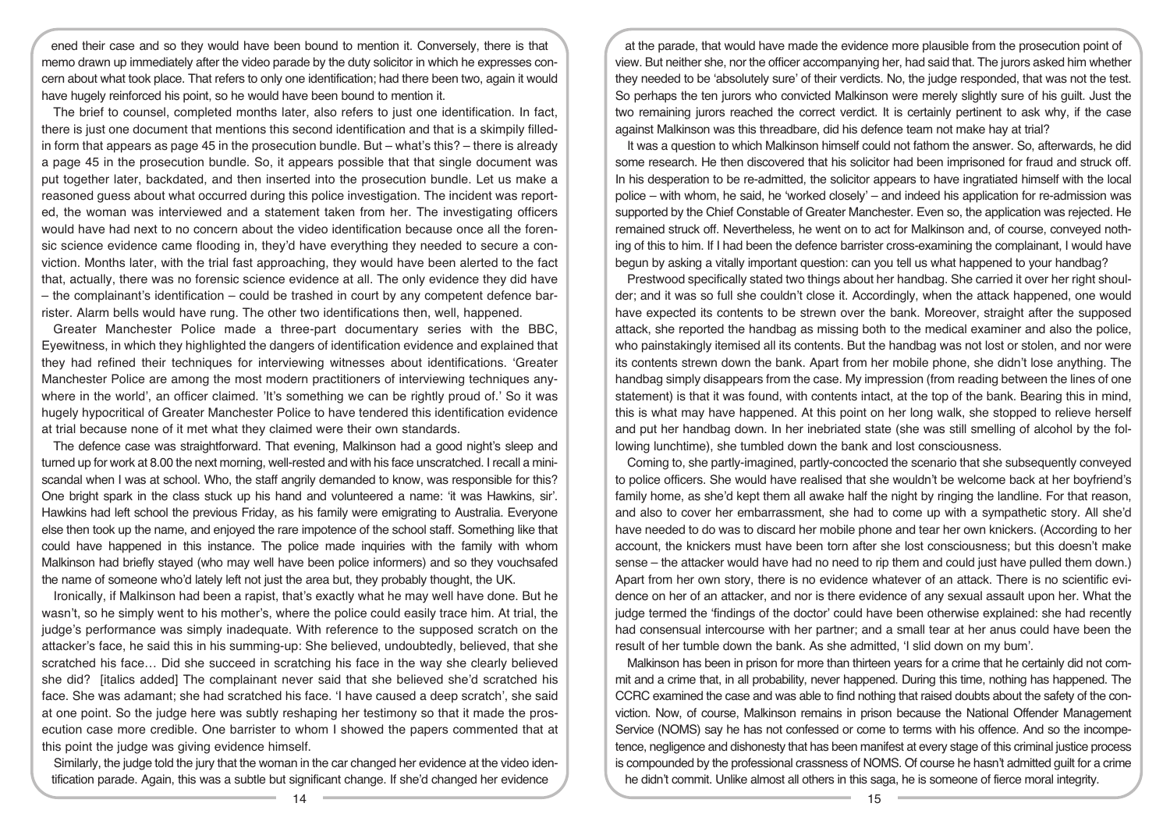ened their case and so they would have been bound to mention it. Conversely, there is that memo drawn up immediately after the video parade by the duty solicitor in which he expresses concern about what took place. That refers to only one identification; had there been two, again it would have hugely reinforced his point, so he would have been bound to mention it.

The brief to counsel, completed months later, also refers to just one identification. In fact, there is just one document that mentions this second identification and that is a skimpily filledin form that appears as page 45 in the prosecution bundle. But – what's this? – there is already a page 45 in the prosecution bundle. So, it appears possible that that single document was put together later, backdated, and then inserted into the prosecution bundle. Let us make a reasoned guess about what occurred during this police investigation. The incident was reported, the woman was interviewed and a statement taken from her. The investigating officers would have had next to no concern about the video identification because once all the forensic science evidence came flooding in, they'd have everything they needed to secure a conviction. Months later, with the trial fast approaching, they would have been alerted to the fact that, actually, there was no forensic science evidence at all. The only evidence they did have – the complainant's identification – could be trashed in court by any competent defence barrister. Alarm bells would have rung. The other two identifications then, well, happened.

Greater Manchester Police made a three-part documentary series with the BBC, Eyewitness, in which they highlighted the dangers of identification evidence and explained that they had refined their techniques for interviewing witnesses about identifications. 'Greater Manchester Police are among the most modern practitioners of interviewing techniques anywhere in the world', an officer claimed. 'It's something we can be rightly proud of.' So it was hugely hypocritical of Greater Manchester Police to have tendered this identification evidence at trial because none of it met what they claimed were their own standards.

The defence case was straightforward. That evening, Malkinson had a good night's sleep and turned up for work at 8.00 the next morning, well-rested and with his face unscratched. I recall a miniscandal when I was at school. Who, the staff angrily demanded to know, was responsible for this? One bright spark in the class stuck up his hand and volunteered a name: 'it was Hawkins, sir'. Hawkins had left school the previous Friday, as his family were emigrating to Australia. Everyone else then took up the name, and enjoyed the rare impotence of the school staff. Something like that could have happened in this instance. The police made inquiries with the family with whom Malkinson had briefly stayed (who may well have been police informers) and so they vouchsafed the name of someone who'd lately left not just the area but, they probably thought, the UK.

Ironically, if Malkinson had been a rapist, that's exactly what he may well have done. But he wasn't, so he simply went to his mother's, where the police could easily trace him. At trial, the judge's performance was simply inadequate. With reference to the supposed scratch on the attacker's face, he said this in his summing-up: She believed, undoubtedly, believed, that she scratched his face… Did she succeed in scratching his face in the way she clearly believed she did? [italics added] The complainant never said that she believed she'd scratched his face. She was adamant; she had scratched his face. 'I have caused a deep scratch', she said at one point. So the judge here was subtly reshaping her testimony so that it made the prosecution case more credible. One barrister to whom I showed the papers commented that at this point the judge was giving evidence himself.

Similarly, the judge told the jury that the woman in the car changed her evidence at the video identification parade. Again, this was a subtle but significant change. If she'd changed her evidence

at the parade, that would have made the evidence more plausible from the prosecution point of view. But neither she, nor the officer accompanying her, had said that. The jurors asked him whether they needed to be 'absolutely sure' of their verdicts. No, the judge responded, that was not the test. So perhaps the ten jurors who convicted Malkinson were merely slightly sure of his guilt. Just the two remaining jurors reached the correct verdict. It is certainly pertinent to ask why, if the case against Malkinson was this threadbare, did his defence team not make hay at trial?

It was a question to which Malkinson himself could not fathom the answer. So, afterwards, he did some research. He then discovered that his solicitor had been imprisoned for fraud and struck off. In his desperation to be re-admitted, the solicitor appears to have ingratiated himself with the local police – with whom, he said, he 'worked closely' – and indeed his application for re-admission was supported by the Chief Constable of Greater Manchester. Even so, the application was rejected. He remained struck off. Nevertheless, he went on to act for Malkinson and, of course, conveyed nothing of this to him. If I had been the defence barrister cross-examining the complainant, I would have begun by asking a vitally important question: can you tell us what happened to your handbag?

Prestwood specifically stated two things about her handbag. She carried it over her right shoulder; and it was so full she couldn't close it. Accordingly, when the attack happened, one would have expected its contents to be strewn over the bank. Moreover, straight after the supposed attack, she reported the handbag as missing both to the medical examiner and also the police, who painstakingly itemised all its contents. But the handbag was not lost or stolen, and nor were its contents strewn down the bank. Apart from her mobile phone, she didn't lose anything. The handbag simply disappears from the case. My impression (from reading between the lines of one statement) is that it was found, with contents intact, at the top of the bank. Bearing this in mind, this is what may have happened. At this point on her long walk, she stopped to relieve herself and put her handbag down. In her inebriated state (she was still smelling of alcohol by the following lunchtime), she tumbled down the bank and lost consciousness.

Coming to, she partly-imagined, partly-concocted the scenario that she subsequently conveyed to police officers. She would have realised that she wouldn't be welcome back at her boyfriend's family home, as she'd kept them all awake half the night by ringing the landline. For that reason, and also to cover her embarrassment, she had to come up with a sympathetic story. All she'd have needed to do was to discard her mobile phone and tear her own knickers. (According to her account, the knickers must have been torn after she lost consciousness; but this doesn't make sense – the attacker would have had no need to rip them and could just have pulled them down.) Apart from her own story, there is no evidence whatever of an attack. There is no scientific evidence on her of an attacker, and nor is there evidence of any sexual assault upon her. What the judge termed the 'findings of the doctor' could have been otherwise explained: she had recently had consensual intercourse with her partner; and a small tear at her anus could have been the result of her tumble down the bank. As she admitted, 'I slid down on my bum'.

Malkinson has been in prison for more than thirteen years for a crime that he certainly did not commit and a crime that, in all probability, never happened. During this time, nothing has happened. The CCRC examined the case and was able to find nothing that raised doubts about the safety of the conviction. Now, of course, Malkinson remains in prison because the National Offender Management Service (NOMS) say he has not confessed or come to terms with his offence. And so the incompetence, negligence and dishonesty that has been manifest at every stage of this criminal justice process is compounded by the professional crassness of NOMS. Of course he hasn't admitted guilt for a crime he didn't commit. Unlike almost all others in this saga, he is someone of fierce moral integrity.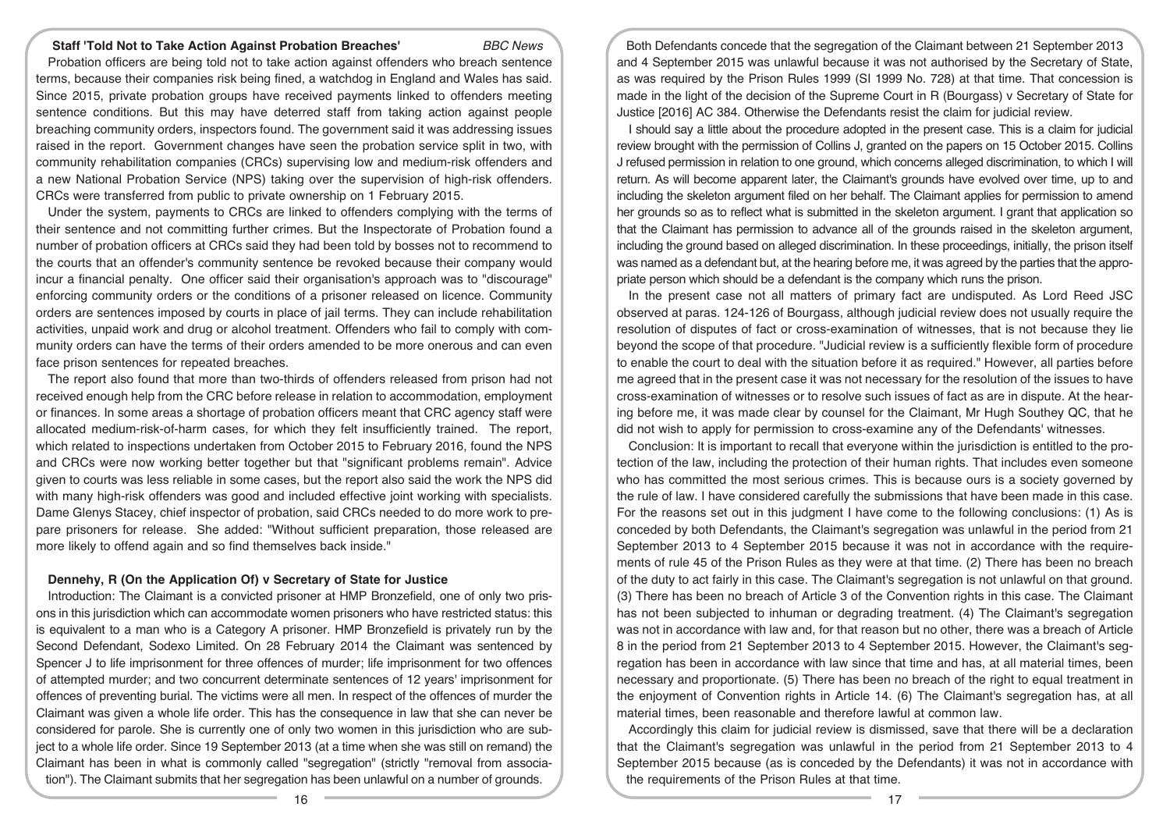#### **Staff 'Told Not to Take Action Against Probation Breaches'** *BBC News*

Probation officers are being told not to take action against offenders who breach sentence terms, because their companies risk being fined, a watchdog in England and Wales has said. Since 2015, private probation groups have received payments linked to offenders meeting sentence conditions. But this may have deterred staff from taking action against people breaching community orders, inspectors found. The government said it was addressing issues raised in the report. Government changes have seen the probation service split in two, with community rehabilitation companies (CRCs) supervising low and medium-risk offenders and a new National Probation Service (NPS) taking over the supervision of high-risk offenders. CRCs were transferred from public to private ownership on 1 February 2015.

Under the system, payments to CRCs are linked to offenders complying with the terms of their sentence and not committing further crimes. But the Inspectorate of Probation found a number of probation officers at CRCs said they had been told by bosses not to recommend to the courts that an offender's community sentence be revoked because their company would incur a financial penalty. One officer said their organisation's approach was to "discourage" enforcing community orders or the conditions of a prisoner released on licence. Community orders are sentences imposed by courts in place of jail terms. They can include rehabilitation activities, unpaid work and drug or alcohol treatment. Offenders who fail to comply with community orders can have the terms of their orders amended to be more onerous and can even face prison sentences for repeated breaches.

The report also found that more than two-thirds of offenders released from prison had not received enough help from the CRC before release in relation to accommodation, employment or finances. In some areas a shortage of probation officers meant that CRC agency staff were allocated medium-risk-of-harm cases, for which they felt insufficiently trained. The report, which related to inspections undertaken from October 2015 to February 2016, found the NPS and CRCs were now working better together but that "significant problems remain". Advice given to courts was less reliable in some cases, but the report also said the work the NPS did with many high-risk offenders was good and included effective joint working with specialists. Dame Glenys Stacey, chief inspector of probation, said CRCs needed to do more work to prepare prisoners for release. She added: "Without sufficient preparation, those released are more likely to offend again and so find themselves back inside."

## **Dennehy, R (On the Application Of) v Secretary of State for Justice**

Introduction: The Claimant is a convicted prisoner at HMP Bronzefield, one of only two prisons in this jurisdiction which can accommodate women prisoners who have restricted status: this is equivalent to a man who is a Category A prisoner. HMP Bronzefield is privately run by the Second Defendant, Sodexo Limited. On 28 February 2014 the Claimant was sentenced by Spencer J to life imprisonment for three offences of murder; life imprisonment for two offences of attempted murder; and two concurrent determinate sentences of 12 years' imprisonment for offences of preventing burial. The victims were all men. In respect of the offences of murder the Claimant was given a whole life order. This has the consequence in law that she can never be considered for parole. She is currently one of only two women in this jurisdiction who are subject to a whole life order. Since 19 September 2013 (at a time when she was still on remand) the Claimant has been in what is commonly called "segregation" (strictly "removal from association"). The Claimant submits that her segregation has been unlawful on a number of grounds.

Both Defendants concede that the segregation of the Claimant between 21 September 2013 and 4 September 2015 was unlawful because it was not authorised by the Secretary of State, as was required by the Prison Rules 1999 (SI 1999 No. 728) at that time. That concession is made in the light of the decision of the Supreme Court in R (Bourgass) v Secretary of State for Justice [2016] AC 384. Otherwise the Defendants resist the claim for judicial review.

I should say a little about the procedure adopted in the present case. This is a claim for judicial review brought with the permission of Collins J, granted on the papers on 15 October 2015. Collins J refused permission in relation to one ground, which concerns alleged discrimination, to which I will return. As will become apparent later, the Claimant's grounds have evolved over time, up to and including the skeleton argument filed on her behalf. The Claimant applies for permission to amend her grounds so as to reflect what is submitted in the skeleton argument. I grant that application so that the Claimant has permission to advance all of the grounds raised in the skeleton argument, including the ground based on alleged discrimination. In these proceedings, initially, the prison itself was named as a defendant but, at the hearing before me, it was agreed by the parties that the appropriate person which should be a defendant is the company which runs the prison.

In the present case not all matters of primary fact are undisputed. As Lord Reed JSC observed at paras. 124-126 of Bourgass, although judicial review does not usually require the resolution of disputes of fact or cross-examination of witnesses, that is not because they lie beyond the scope of that procedure. "Judicial review is a sufficiently flexible form of procedure to enable the court to deal with the situation before it as required." However, all parties before me agreed that in the present case it was not necessary for the resolution of the issues to have cross-examination of witnesses or to resolve such issues of fact as are in dispute. At the hearing before me, it was made clear by counsel for the Claimant, Mr Hugh Southey QC, that he did not wish to apply for permission to cross-examine any of the Defendants' witnesses.

Conclusion: It is important to recall that everyone within the jurisdiction is entitled to the protection of the law, including the protection of their human rights. That includes even someone who has committed the most serious crimes. This is because ours is a society governed by the rule of law. I have considered carefully the submissions that have been made in this case. For the reasons set out in this judgment I have come to the following conclusions: (1) As is conceded by both Defendants, the Claimant's segregation was unlawful in the period from 21 September 2013 to 4 September 2015 because it was not in accordance with the requirements of rule 45 of the Prison Rules as they were at that time. (2) There has been no breach of the duty to act fairly in this case. The Claimant's segregation is not unlawful on that ground. (3) There has been no breach of Article 3 of the Convention rights in this case. The Claimant has not been subjected to inhuman or degrading treatment. (4) The Claimant's segregation was not in accordance with law and, for that reason but no other, there was a breach of Article 8 in the period from 21 September 2013 to 4 September 2015. However, the Claimant's segregation has been in accordance with law since that time and has, at all material times, been necessary and proportionate. (5) There has been no breach of the right to equal treatment in the enjoyment of Convention rights in Article 14. (6) The Claimant's segregation has, at all material times, been reasonable and therefore lawful at common law.

Accordingly this claim for judicial review is dismissed, save that there will be a declaration that the Claimant's segregation was unlawful in the period from 21 September 2013 to 4 September 2015 because (as is conceded by the Defendants) it was not in accordance with the requirements of the Prison Rules at that time.